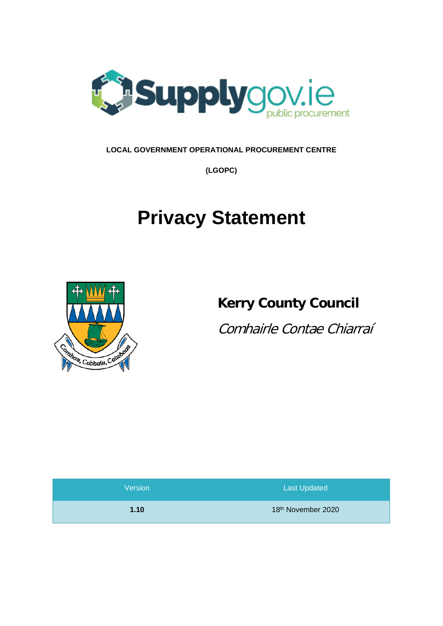

# **LOCAL GOVERNMENT OPERATIONAL PROCUREMENT CENTRE**

**(LGOPC)**

# **Privacy Statement**



# **Kerry County Council**

Comhairle Contae Chiarraí

| Version | <b>Last Updated</b> |
|---------|---------------------|
| 1.10    | 18th November 2020  |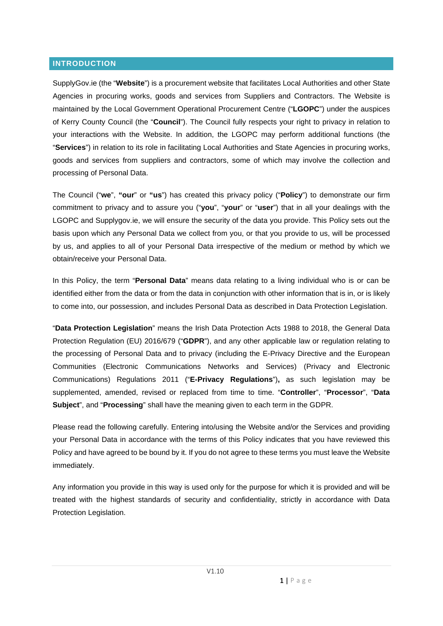#### **INTRODUCTION**

SupplyGov.ie (the "**Website**") is a procurement website that facilitates Local Authorities and other State Agencies in procuring works, goods and services from Suppliers and Contractors. The Website is maintained by the Local Government Operational Procurement Centre ("**LGOPC**") under the auspices of Kerry County Council (the "**Council**"). The Council fully respects your right to privacy in relation to your interactions with the Website. In addition, the LGOPC may perform additional functions (the "**Services**") in relation to its role in facilitating Local Authorities and State Agencies in procuring works, goods and services from suppliers and contractors, some of which may involve the collection and processing of Personal Data.

The Council ("**we**", **"our**" or **"us**") has created this privacy policy ("**Policy**") to demonstrate our firm commitment to privacy and to assure you ("**you**", "**your**" or "**user**") that in all your dealings with the LGOPC and Supplygov.ie, we will ensure the security of the data you provide. This Policy sets out the basis upon which any Personal Data we collect from you, or that you provide to us, will be processed by us, and applies to all of your Personal Data irrespective of the medium or method by which we obtain/receive your Personal Data.

In this Policy, the term "**Personal Data**" means data relating to a living individual who is or can be identified either from the data or from the data in conjunction with other information that is in, or is likely to come into, our possession, and includes Personal Data as described in Data Protection Legislation.

"**Data Protection Legislation**" means the Irish Data Protection Acts 1988 to 2018, the General Data Protection Regulation (EU) 2016/679 ("**GDPR**"), and any other applicable law or regulation relating to the processing of Personal Data and to privacy (including the E-Privacy Directive and the European Communities (Electronic Communications Networks and Services) (Privacy and Electronic Communications) Regulations 2011 ("**E-Privacy Regulations**")**,** as such legislation may be supplemented, amended, revised or replaced from time to time. "**Controller**", "**Processor**", "**Data Subject**", and "**Processing**" shall have the meaning given to each term in the GDPR.

Please read the following carefully. Entering into/using the Website and/or the Services and providing your Personal Data in accordance with the terms of this Policy indicates that you have reviewed this Policy and have agreed to be bound by it. If you do not agree to these terms you must leave the Website immediately.

Any information you provide in this way is used only for the purpose for which it is provided and will be treated with the highest standards of security and confidentiality, strictly in accordance with Data Protection Legislation.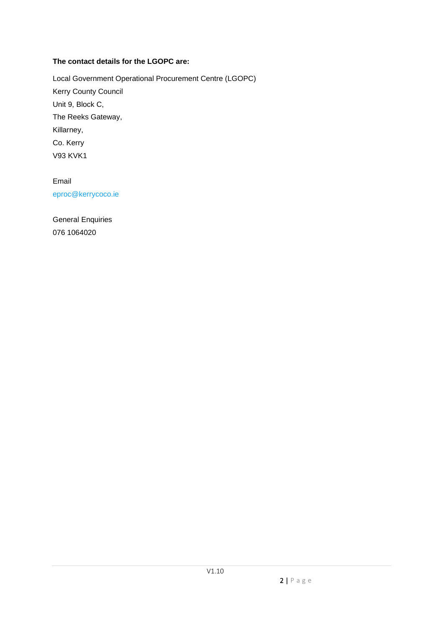# **The contact details for the LGOPC are:**

Local Government Operational Procurement Centre (LGOPC) Kerry County Council Unit 9, Block C, The Reeks Gateway, Killarney, Co. Kerry V93 KVK1

Email [eproc@kerrycoco.ie](mailto:eproc@kerrycoco.ie)

General Enquiries 076 1064020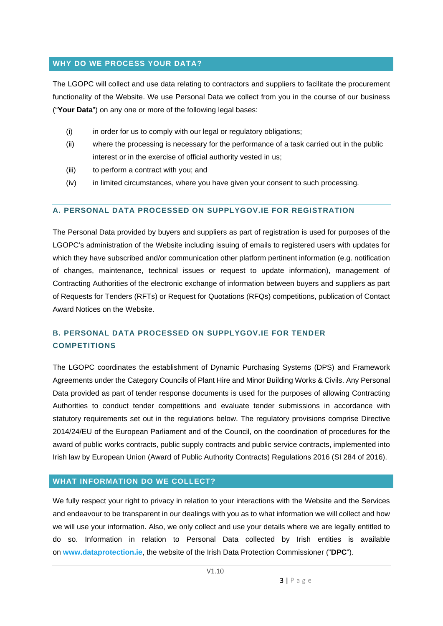#### **WHY DO WE PROCESS YOUR DATA?**

The LGOPC will collect and use data relating to contractors and suppliers to facilitate the procurement functionality of the Website. We use Personal Data we collect from you in the course of our business ("**Your Data**") on any one or more of the following legal bases:

- (i) in order for us to comply with our legal or regulatory obligations:
- (ii) where the processing is necessary for the performance of a task carried out in the public interest or in the exercise of official authority vested in us;
- (iii) to perform a contract with you; and
- (iv) in limited circumstances, where you have given your consent to such processing.

#### **A. PERSONAL DATA PROCESSED ON SUPPLYGOV.IE FOR REGISTRATION**

The Personal Data provided by buyers and suppliers as part of registration is used for purposes of the LGOPC's administration of the Website including issuing of emails to registered users with updates for which they have subscribed and/or communication other platform pertinent information (e.g. notification of changes, maintenance, technical issues or request to update information), management of Contracting Authorities of the electronic exchange of information between buyers and suppliers as part of Requests for Tenders (RFTs) or Request for Quotations (RFQs) competitions, publication of Contact Award Notices on the Website.

# **B. PERSONAL DATA PROCESSED ON SUPPLYGOV.IE FOR TENDER COMPETITIONS**

The LGOPC coordinates the establishment of Dynamic Purchasing Systems (DPS) and Framework Agreements under the Category Councils of Plant Hire and Minor Building Works & Civils. Any Personal Data provided as part of tender response documents is used for the purposes of allowing Contracting Authorities to conduct tender competitions and evaluate tender submissions in accordance with statutory requirements set out in the regulations below. The regulatory provisions comprise Directive 2014/24/EU of the European Parliament and of the Council, on the coordination of procedures for the award of public works contracts, public supply contracts and public service contracts, implemented into Irish law by European Union (Award of Public Authority Contracts) Regulations 2016 (SI 284 of 2016).

#### **WHAT INFORMATION DO WE COLLECT?**

We fully respect your right to privacy in relation to your interactions with the Website and the Services and endeavour to be transparent in our dealings with you as to what information we will collect and how we will use your information. Also, we only collect and use your details where we are legally entitled to do so. Information in relation to Personal Data collected by Irish entities is available on **[www.dataprotection.ie](http://www.dataprotection.ie/)**, the website of the Irish Data Protection Commissioner ("**DPC**").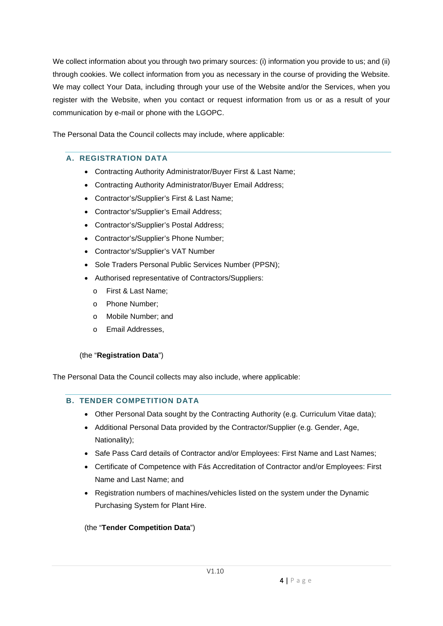We collect information about you through two primary sources: (i) information you provide to us; and (ii) through cookies. We collect information from you as necessary in the course of providing the Website. We may collect Your Data, including through your use of the Website and/or the Services, when you register with the Website, when you contact or request information from us or as a result of your communication by e-mail or phone with the LGOPC.

The Personal Data the Council collects may include, where applicable:

# **A. REGISTRATION DATA**

- Contracting Authority Administrator/Buyer First & Last Name;
- Contracting Authority Administrator/Buyer Email Address;
- Contractor's/Supplier's First & Last Name;
- Contractor's/Supplier's Email Address;
- Contractor's/Supplier's Postal Address;
- Contractor's/Supplier's Phone Number;
- Contractor's/Supplier's VAT Number
- Sole Traders Personal Public Services Number (PPSN);
- Authorised representative of Contractors/Suppliers:
	- o First & Last Name;
	- o Phone Number;
	- o Mobile Number; and
	- o Email Addresses,

#### (the "**Registration Data**")

The Personal Data the Council collects may also include, where applicable:

#### **B. TENDER COMPETITION DATA**

- Other Personal Data sought by the Contracting Authority (e.g. Curriculum Vitae data);
- Additional Personal Data provided by the Contractor/Supplier (e.g. Gender, Age, Nationality);
- Safe Pass Card details of Contractor and/or Employees: First Name and Last Names;
- Certificate of Competence with Fás Accreditation of Contractor and/or Employees: First Name and Last Name; and
- Registration numbers of machines/vehicles listed on the system under the Dynamic Purchasing System for Plant Hire.

# (the "**Tender Competition Data**")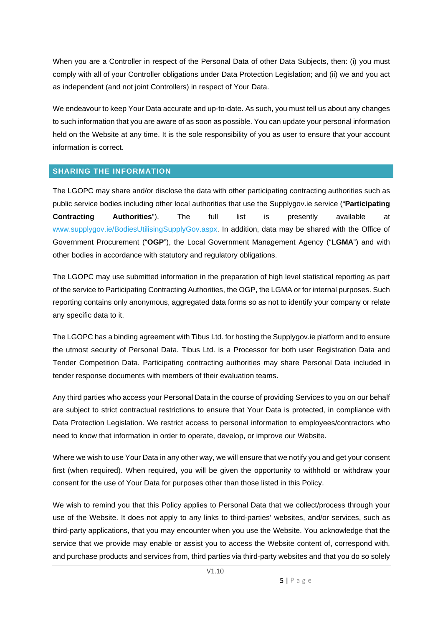When you are a Controller in respect of the Personal Data of other Data Subjects, then: (i) you must comply with all of your Controller obligations under Data Protection Legislation; and (ii) we and you act as independent (and not joint Controllers) in respect of Your Data.

We endeavour to keep Your Data accurate and up-to-date. As such, you must tell us about any changes to such information that you are aware of as soon as possible. You can update your personal information held on the Website at any time. It is the sole responsibility of you as user to ensure that your account information is correct.

#### **SHARING THE INFORMATION**

The LGOPC may share and/or disclose the data with other participating contracting authorities such as public service bodies including other local authorities that use the Supplygov.ie service ("**Participating Contracting Authorities**"). The full list is presently available at [www.supplygov.ie/BodiesUtilisingSupplyGov.aspx.](https://www.supplygov.ie/BodiesUtilisingSupplyGov.aspx) In addition, data may be shared with the Office of Government Procurement ("**OGP**"), the Local Government Management Agency ("**LGMA**") and with other bodies in accordance with statutory and regulatory obligations.

The LGOPC may use submitted information in the preparation of high level statistical reporting as part of the service to Participating Contracting Authorities, the OGP, the LGMA or for internal purposes. Such reporting contains only anonymous, aggregated data forms so as not to identify your company or relate any specific data to it.

The LGOPC has a binding agreement with Tibus Ltd. for hosting the Supplygov.ie platform and to ensure the utmost security of Personal Data. Tibus Ltd. is a Processor for both user Registration Data and Tender Competition Data. Participating contracting authorities may share Personal Data included in tender response documents with members of their evaluation teams.

Any third parties who access your Personal Data in the course of providing Services to you on our behalf are subject to strict contractual restrictions to ensure that Your Data is protected, in compliance with Data Protection Legislation. We restrict access to personal information to employees/contractors who need to know that information in order to operate, develop, or improve our Website.

Where we wish to use Your Data in any other way, we will ensure that we notify you and get your consent first (when required). When required, you will be given the opportunity to withhold or withdraw your consent for the use of Your Data for purposes other than those listed in this Policy.

We wish to remind you that this Policy applies to Personal Data that we collect/process through your use of the Website. It does not apply to any links to third-parties' websites, and/or services, such as third-party applications, that you may encounter when you use the Website. You acknowledge that the service that we provide may enable or assist you to access the Website content of, correspond with, and purchase products and services from, third parties via third-party websites and that you do so solely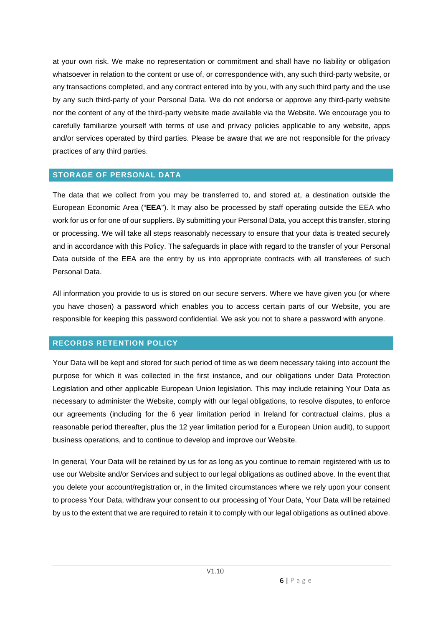at your own risk. We make no representation or commitment and shall have no liability or obligation whatsoever in relation to the content or use of, or correspondence with, any such third-party website, or any transactions completed, and any contract entered into by you, with any such third party and the use by any such third-party of your Personal Data. We do not endorse or approve any third-party website nor the content of any of the third-party website made available via the Website. We encourage you to carefully familiarize yourself with terms of use and privacy policies applicable to any website, apps and/or services operated by third parties. Please be aware that we are not responsible for the privacy practices of any third parties.

#### **STORAGE OF PERSONAL DATA**

The data that we collect from you may be transferred to, and stored at, a destination outside the European Economic Area ("**EEA**"). It may also be processed by staff operating outside the EEA who work for us or for one of our suppliers. By submitting your Personal Data, you accept this transfer, storing or processing. We will take all steps reasonably necessary to ensure that your data is treated securely and in accordance with this Policy. The safeguards in place with regard to the transfer of your Personal Data outside of the EEA are the entry by us into appropriate contracts with all transferees of such Personal Data.

All information you provide to us is stored on our secure servers. Where we have given you (or where you have chosen) a password which enables you to access certain parts of our Website, you are responsible for keeping this password confidential. We ask you not to share a password with anyone.

# **RECORDS RETENTION POLICY**

Your Data will be kept and stored for such period of time as we deem necessary taking into account the purpose for which it was collected in the first instance, and our obligations under Data Protection Legislation and other applicable European Union legislation. This may include retaining Your Data as necessary to administer the Website, comply with our legal obligations, to resolve disputes, to enforce our agreements (including for the 6 year limitation period in Ireland for contractual claims, plus a reasonable period thereafter, plus the 12 year limitation period for a European Union audit), to support business operations, and to continue to develop and improve our Website.

In general, Your Data will be retained by us for as long as you continue to remain registered with us to use our Website and/or Services and subject to our legal obligations as outlined above. In the event that you delete your account/registration or, in the limited circumstances where we rely upon your consent to process Your Data, withdraw your consent to our processing of Your Data, Your Data will be retained by us to the extent that we are required to retain it to comply with our legal obligations as outlined above.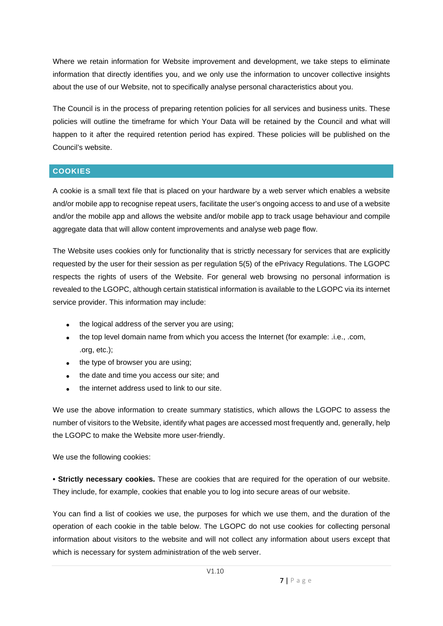Where we retain information for Website improvement and development, we take steps to eliminate information that directly identifies you, and we only use the information to uncover collective insights about the use of our Website, not to specifically analyse personal characteristics about you.

The Council is in the process of preparing retention policies for all services and business units. These policies will outline the timeframe for which Your Data will be retained by the Council and what will happen to it after the required retention period has expired. These policies will be published on the Council's website.

# **COOKIES**

A cookie is a small text file that is placed on your hardware by a web server which enables a website and/or mobile app to recognise repeat users, facilitate the user's ongoing access to and use of a website and/or the mobile app and allows the website and/or mobile app to track usage behaviour and compile aggregate data that will allow content improvements and analyse web page flow.

The Website uses cookies only for functionality that is strictly necessary for services that are explicitly requested by the user for their session as per regulation 5(5) of the ePrivacy Regulations. The LGOPC respects the rights of users of the Website. For general web browsing no personal information is revealed to the LGOPC, although certain statistical information is available to the LGOPC via its internet service provider. This information may include:

- the logical address of the server you are using;
- the top level domain name from which you access the Internet (for example: .i.e., .com, .org, etc.);
- the type of browser you are using;
- the date and time you access our site; and
- the internet address used to link to our site.

We use the above information to create summary statistics, which allows the LGOPC to assess the number of visitors to the Website, identify what pages are accessed most frequently and, generally, help the LGOPC to make the Website more user-friendly.

We use the following cookies:

**• Strictly necessary cookies.** These are cookies that are required for the operation of our website. They include, for example, cookies that enable you to log into secure areas of our website.

You can find a list of cookies we use, the purposes for which we use them, and the duration of the operation of each cookie in the table below. The LGOPC do not use cookies for collecting personal information about visitors to the website and will not collect any information about users except that which is necessary for system administration of the web server.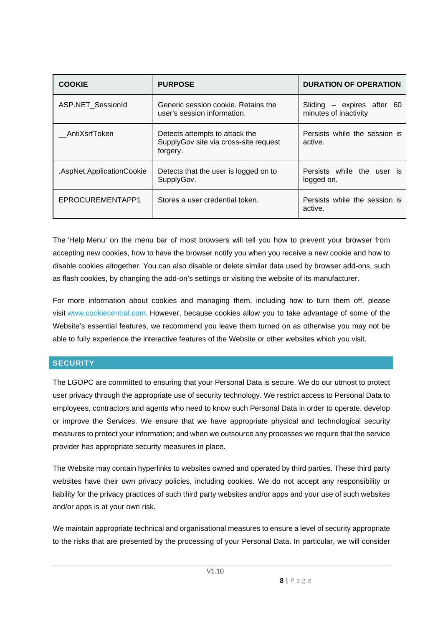| <b>COOKIE</b>             | <b>PURPOSE</b>                                                                      | <b>DURATION OF OPERATION</b>                          |
|---------------------------|-------------------------------------------------------------------------------------|-------------------------------------------------------|
| ASP.NET SessionId         | Generic session cookie. Retains the<br>user's session information.                  | Sliding $-$ expires after 60<br>minutes of inactivity |
| AntiXsrfToken             | Detects attempts to attack the<br>SupplyGov site via cross-site request<br>forgery. | Persists while the session is<br>active.              |
| .AspNet.ApplicationCookie | Detects that the user is logged on to<br>SupplyGov.                                 | Persists while the user is<br>logged on.              |
| EPROCUREMENTAPP1          | Stores a user credential token.                                                     | Persists while the session is<br>active.              |

The 'Help Menu' on the menu bar of most browsers will tell you how to prevent your browser from accepting new cookies, how to have the browser notify you when you receive a new cookie and how to disable cookies altogether. You can also disable or delete similar data used by browser add-ons, such as flash cookies, by changing the add-on's settings or visiting the website of its manufacturer.

For more information about cookies and managing them, including how to turn them off, please visit [www.cookiecentral.com.](http://www.cookiecentral.com/) However, because cookies allow you to take advantage of some of the Website's essential features, we recommend you leave them turned on as otherwise you may not be able to fully experience the interactive features of the Website or other websites which you visit.

# **SECURITY**

The LGOPC are committed to ensuring that your Personal Data is secure. We do our utmost to protect user privacy through the appropriate use of security technology. We restrict access to Personal Data to employees, contractors and agents who need to know such Personal Data in order to operate, develop or improve the Services. We ensure that we have appropriate physical and technological security measures to protect your information; and when we outsource any processes we require that the service provider has appropriate security measures in place.

The Website may contain hyperlinks to websites owned and operated by third parties. These third party websites have their own privacy policies, including cookies. We do not accept any responsibility or liability for the privacy practices of such third party websites and/or apps and your use of such websites and/or apps is at your own risk.

We maintain appropriate technical and organisational measures to ensure a level of security appropriate to the risks that are presented by the processing of your Personal Data. In particular, we will consider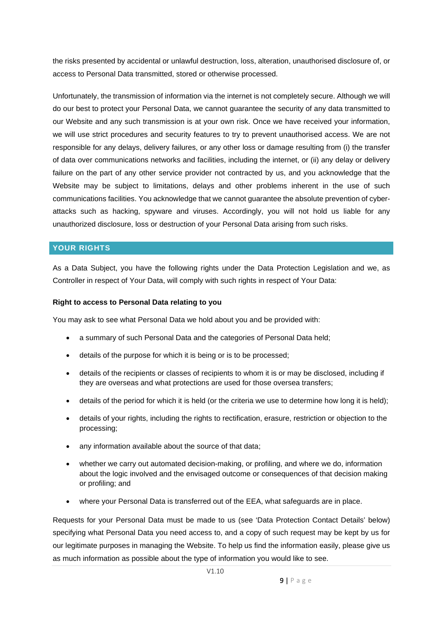the risks presented by accidental or unlawful destruction, loss, alteration, unauthorised disclosure of, or access to Personal Data transmitted, stored or otherwise processed.

Unfortunately, the transmission of information via the internet is not completely secure. Although we will do our best to protect your Personal Data, we cannot guarantee the security of any data transmitted to our Website and any such transmission is at your own risk. Once we have received your information, we will use strict procedures and security features to try to prevent unauthorised access. We are not responsible for any delays, delivery failures, or any other loss or damage resulting from (i) the transfer of data over communications networks and facilities, including the internet, or (ii) any delay or delivery failure on the part of any other service provider not contracted by us, and you acknowledge that the Website may be subject to limitations, delays and other problems inherent in the use of such communications facilities. You acknowledge that we cannot guarantee the absolute prevention of cyberattacks such as hacking, spyware and viruses. Accordingly, you will not hold us liable for any unauthorized disclosure, loss or destruction of your Personal Data arising from such risks.

# **YOUR RIGHTS**

As a Data Subject, you have the following rights under the Data Protection Legislation and we, as Controller in respect of Your Data, will comply with such rights in respect of Your Data:

#### **Right to access to Personal Data relating to you**

You may ask to see what Personal Data we hold about you and be provided with:

- a summary of such Personal Data and the categories of Personal Data held;
- details of the purpose for which it is being or is to be processed;
- details of the recipients or classes of recipients to whom it is or may be disclosed, including if they are overseas and what protections are used for those oversea transfers;
- details of the period for which it is held (or the criteria we use to determine how long it is held);
- details of your rights, including the rights to rectification, erasure, restriction or objection to the processing;
- any information available about the source of that data;
- whether we carry out automated decision-making, or profiling, and where we do, information about the logic involved and the envisaged outcome or consequences of that decision making or profiling; and
- where your Personal Data is transferred out of the EEA, what safeguards are in place.

Requests for your Personal Data must be made to us (see 'Data Protection Contact Details' below) specifying what Personal Data you need access to, and a copy of such request may be kept by us for our legitimate purposes in managing the Website. To help us find the information easily, please give us as much information as possible about the type of information you would like to see.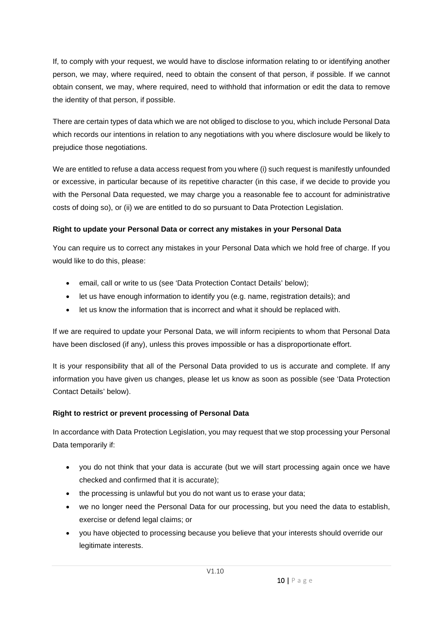If, to comply with your request, we would have to disclose information relating to or identifying another person, we may, where required, need to obtain the consent of that person, if possible. If we cannot obtain consent, we may, where required, need to withhold that information or edit the data to remove the identity of that person, if possible.

There are certain types of data which we are not obliged to disclose to you, which include Personal Data which records our intentions in relation to any negotiations with you where disclosure would be likely to prejudice those negotiations.

We are entitled to refuse a data access request from you where (i) such request is manifestly unfounded or excessive, in particular because of its repetitive character (in this case, if we decide to provide you with the Personal Data requested, we may charge you a reasonable fee to account for administrative costs of doing so), or (ii) we are entitled to do so pursuant to Data Protection Legislation.

# **Right to update your Personal Data or correct any mistakes in your Personal Data**

You can require us to correct any mistakes in your Personal Data which we hold free of charge. If you would like to do this, please:

- email, call or write to us (see 'Data Protection Contact Details' below);
- let us have enough information to identify you (e.g. name, registration details); and
- let us know the information that is incorrect and what it should be replaced with.

If we are required to update your Personal Data, we will inform recipients to whom that Personal Data have been disclosed (if any), unless this proves impossible or has a disproportionate effort.

It is your responsibility that all of the Personal Data provided to us is accurate and complete. If any information you have given us changes, please let us know as soon as possible (see 'Data Protection Contact Details' below).

# **Right to restrict or prevent processing of Personal Data**

In accordance with Data Protection Legislation, you may request that we stop processing your Personal Data temporarily if:

- you do not think that your data is accurate (but we will start processing again once we have checked and confirmed that it is accurate);
- the processing is unlawful but you do not want us to erase your data;
- we no longer need the Personal Data for our processing, but you need the data to establish, exercise or defend legal claims; or
- you have objected to processing because you believe that your interests should override our legitimate interests.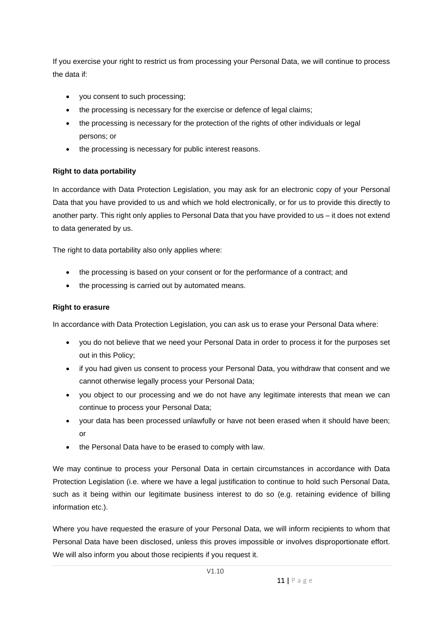If you exercise your right to restrict us from processing your Personal Data, we will continue to process the data if:

- you consent to such processing;
- the processing is necessary for the exercise or defence of legal claims;
- the processing is necessary for the protection of the rights of other individuals or legal persons; or
- the processing is necessary for public interest reasons.

# **Right to data portability**

In accordance with Data Protection Legislation, you may ask for an electronic copy of your Personal Data that you have provided to us and which we hold electronically, or for us to provide this directly to another party. This right only applies to Personal Data that you have provided to us – it does not extend to data generated by us.

The right to data portability also only applies where:

- the processing is based on your consent or for the performance of a contract; and
- the processing is carried out by automated means.

# **Right to erasure**

In accordance with Data Protection Legislation, you can ask us to erase your Personal Data where:

- you do not believe that we need your Personal Data in order to process it for the purposes set out in this Policy;
- if you had given us consent to process your Personal Data, you withdraw that consent and we cannot otherwise legally process your Personal Data;
- you object to our processing and we do not have any legitimate interests that mean we can continue to process your Personal Data;
- your data has been processed unlawfully or have not been erased when it should have been; or
- the Personal Data have to be erased to comply with law.

We may continue to process your Personal Data in certain circumstances in accordance with Data Protection Legislation (i.e. where we have a legal justification to continue to hold such Personal Data, such as it being within our legitimate business interest to do so (e.g. retaining evidence of billing information etc.).

Where you have requested the erasure of your Personal Data, we will inform recipients to whom that Personal Data have been disclosed, unless this proves impossible or involves disproportionate effort. We will also inform you about those recipients if you request it.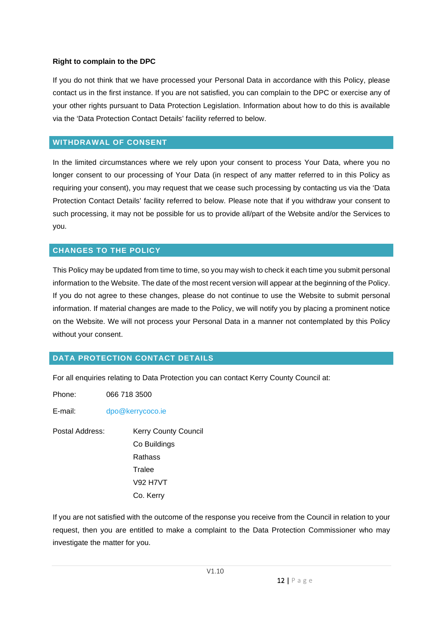#### **Right to complain to the DPC**

If you do not think that we have processed your Personal Data in accordance with this Policy, please contact us in the first instance. If you are not satisfied, you can complain to the DPC or exercise any of your other rights pursuant to Data Protection Legislation. Information about how to do this is available via the 'Data Protection Contact Details' facility referred to below.

#### **WITHDRAWAL OF CONSENT**

In the limited circumstances where we rely upon your consent to process Your Data, where you no longer consent to our processing of Your Data (in respect of any matter referred to in this Policy as requiring your consent), you may request that we cease such processing by contacting us via the 'Data Protection Contact Details' facility referred to below. Please note that if you withdraw your consent to such processing, it may not be possible for us to provide all/part of the Website and/or the Services to you.

#### **CHANGES TO THE POLICY**

This Policy may be updated from time to time, so you may wish to check it each time you submit personal information to the Website. The date of the most recent version will appear at the beginning of the Policy. If you do not agree to these changes, please do not continue to use the Website to submit personal information. If material changes are made to the Policy, we will notify you by placing a prominent notice on the Website. We will not process your Personal Data in a manner not contemplated by this Policy without your consent.

#### **DATA PROTECTION CONTACT DETAILS**

For all enquiries relating to Data Protection you can contact Kerry County Council at:

Phone: 066 718 3500

E-mail: [dpo@kerrycoco.ie](mailto:dpo@kerrycoco.ie)

Postal Address: Kerry County Council Co Buildings Rathass Tralee V92 H7VT Co. Kerry

If you are not satisfied with the outcome of the response you receive from the Council in relation to your request, then you are entitled to make a complaint to the Data Protection Commissioner who may investigate the matter for you.